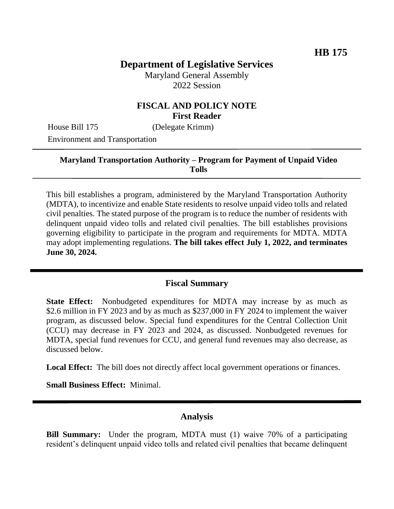# **Department of Legislative Services**

Maryland General Assembly 2022 Session

## **FISCAL AND POLICY NOTE First Reader**

House Bill 175 (Delegate Krimm)

Environment and Transportation

### **Maryland Transportation Authority – Program for Payment of Unpaid Video Tolls**

This bill establishes a program, administered by the Maryland Transportation Authority (MDTA), to incentivize and enable State residents to resolve unpaid video tolls and related civil penalties. The stated purpose of the program is to reduce the number of residents with delinquent unpaid video tolls and related civil penalties. The bill establishes provisions governing eligibility to participate in the program and requirements for MDTA. MDTA may adopt implementing regulations. **The bill takes effect July 1, 2022, and terminates June 30, 2024.**

### **Fiscal Summary**

**State Effect:** Nonbudgeted expenditures for MDTA may increase by as much as \$2.6 million in FY 2023 and by as much as \$237,000 in FY 2024 to implement the waiver program, as discussed below. Special fund expenditures for the Central Collection Unit (CCU) may decrease in FY 2023 and 2024, as discussed. Nonbudgeted revenues for MDTA, special fund revenues for CCU, and general fund revenues may also decrease, as discussed below.

Local Effect: The bill does not directly affect local government operations or finances.

**Small Business Effect:** Minimal.

### **Analysis**

**Bill Summary:** Under the program, MDTA must (1) waive 70% of a participating resident's delinquent unpaid video tolls and related civil penalties that became delinquent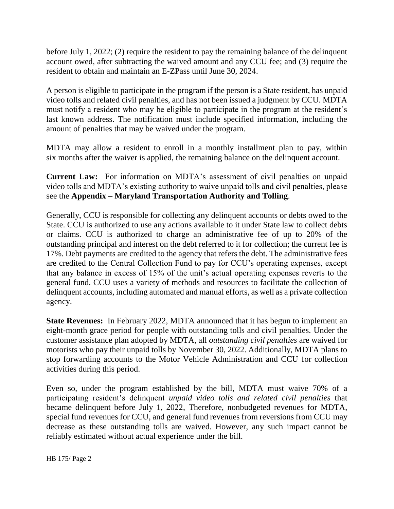before July 1, 2022; (2) require the resident to pay the remaining balance of the delinquent account owed, after subtracting the waived amount and any CCU fee; and (3) require the resident to obtain and maintain an E-ZPass until June 30, 2024.

A person is eligible to participate in the program if the person is a State resident, has unpaid video tolls and related civil penalties, and has not been issued a judgment by CCU. MDTA must notify a resident who may be eligible to participate in the program at the resident's last known address. The notification must include specified information, including the amount of penalties that may be waived under the program.

MDTA may allow a resident to enroll in a monthly installment plan to pay, within six months after the waiver is applied, the remaining balance on the delinquent account.

**Current Law:** For information on MDTA's assessment of civil penalties on unpaid video tolls and MDTA's existing authority to waive unpaid tolls and civil penalties, please see the **Appendix – Maryland Transportation Authority and Tolling**.

Generally, CCU is responsible for collecting any delinquent accounts or debts owed to the State. CCU is authorized to use any actions available to it under State law to collect debts or claims. CCU is authorized to charge an administrative fee of up to 20% of the outstanding principal and interest on the debt referred to it for collection; the current fee is 17%. Debt payments are credited to the agency that refers the debt. The administrative fees are credited to the Central Collection Fund to pay for CCU's operating expenses, except that any balance in excess of 15% of the unit's actual operating expenses reverts to the general fund. CCU uses a variety of methods and resources to facilitate the collection of delinquent accounts, including automated and manual efforts, as well as a private collection agency.

**State Revenues:** In February 2022, MDTA announced that it has begun to implement an eight-month grace period for people with outstanding tolls and civil penalties. Under the customer assistance plan adopted by MDTA, all *outstanding civil penalties* are waived for motorists who pay their unpaid tolls by November 30, 2022. Additionally, MDTA plans to stop forwarding accounts to the Motor Vehicle Administration and CCU for collection activities during this period.

Even so, under the program established by the bill, MDTA must waive 70% of a participating resident's delinquent *unpaid video tolls and related civil penalties* that became delinquent before July 1, 2022, Therefore, nonbudgeted revenues for MDTA, special fund revenues for CCU, and general fund revenues from reversions from CCU may decrease as these outstanding tolls are waived. However, any such impact cannot be reliably estimated without actual experience under the bill.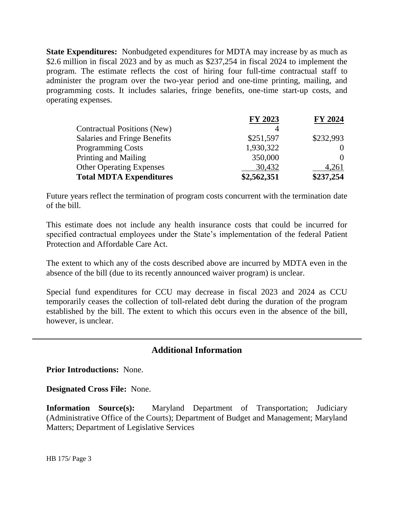**State Expenditures:** Nonbudgeted expenditures for MDTA may increase by as much as \$2.6 million in fiscal 2023 and by as much as \$237,254 in fiscal 2024 to implement the program. The estimate reflects the cost of hiring four full-time contractual staff to administer the program over the two-year period and one-time printing, mailing, and programming costs. It includes salaries, fringe benefits, one-time start-up costs, and operating expenses.

|                                    | FY 2023     | <b>FY 2024</b>    |
|------------------------------------|-------------|-------------------|
| <b>Contractual Positions (New)</b> |             |                   |
| Salaries and Fringe Benefits       | \$251,597   | \$232,993         |
| <b>Programming Costs</b>           | 1,930,322   |                   |
| Printing and Mailing               | 350,000     | $\mathbf{\Omega}$ |
| <b>Other Operating Expenses</b>    | 30,432      | 4,261             |
| <b>Total MDTA Expenditures</b>     | \$2,562,351 | \$237,254         |

Future years reflect the termination of program costs concurrent with the termination date of the bill.

This estimate does not include any health insurance costs that could be incurred for specified contractual employees under the State's implementation of the federal Patient Protection and Affordable Care Act.

The extent to which any of the costs described above are incurred by MDTA even in the absence of the bill (due to its recently announced waiver program) is unclear.

Special fund expenditures for CCU may decrease in fiscal 2023 and 2024 as CCU temporarily ceases the collection of toll-related debt during the duration of the program established by the bill. The extent to which this occurs even in the absence of the bill, however, is unclear.

## **Additional Information**

**Prior Introductions:** None.

**Designated Cross File:** None.

**Information Source(s):** Maryland Department of Transportation; Judiciary (Administrative Office of the Courts); Department of Budget and Management; Maryland Matters; Department of Legislative Services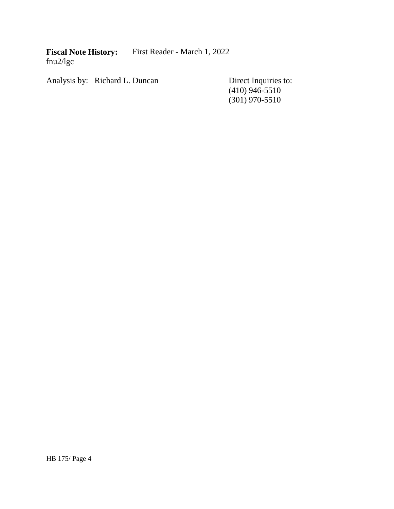Analysis by: Richard L. Duncan Direct Inquiries to:

(410) 946-5510 (301) 970-5510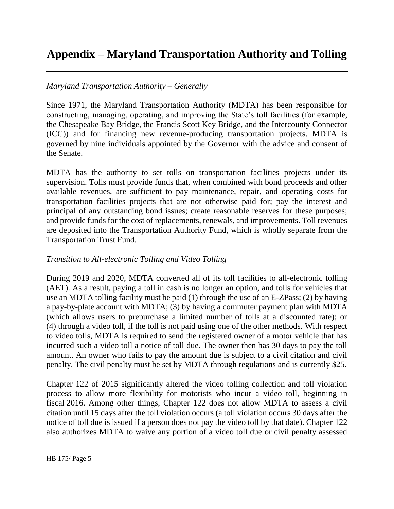# **Appendix – Maryland Transportation Authority and Tolling**

### *Maryland Transportation Authority – Generally*

Since 1971, the Maryland Transportation Authority (MDTA) has been responsible for constructing, managing, operating, and improving the State's toll facilities (for example, the Chesapeake Bay Bridge, the Francis Scott Key Bridge, and the Intercounty Connector (ICC)) and for financing new revenue-producing transportation projects. MDTA is governed by nine individuals appointed by the Governor with the advice and consent of the Senate.

MDTA has the authority to set tolls on transportation facilities projects under its supervision. Tolls must provide funds that, when combined with bond proceeds and other available revenues, are sufficient to pay maintenance, repair, and operating costs for transportation facilities projects that are not otherwise paid for; pay the interest and principal of any outstanding bond issues; create reasonable reserves for these purposes; and provide funds for the cost of replacements, renewals, and improvements. Toll revenues are deposited into the Transportation Authority Fund, which is wholly separate from the Transportation Trust Fund.

#### *Transition to All-electronic Tolling and Video Tolling*

During 2019 and 2020, MDTA converted all of its toll facilities to all-electronic tolling (AET). As a result, paying a toll in cash is no longer an option, and tolls for vehicles that use an MDTA tolling facility must be paid (1) through the use of an E-ZPass; (2) by having a pay-by-plate account with MDTA; (3) by having a commuter payment plan with MDTA (which allows users to prepurchase a limited number of tolls at a discounted rate); or (4) through a video toll, if the toll is not paid using one of the other methods. With respect to video tolls, MDTA is required to send the registered owner of a motor vehicle that has incurred such a video toll a notice of toll due. The owner then has 30 days to pay the toll amount. An owner who fails to pay the amount due is subject to a civil citation and civil penalty. The civil penalty must be set by MDTA through regulations and is currently \$25.

Chapter 122 of 2015 significantly altered the video tolling collection and toll violation process to allow more flexibility for motorists who incur a video toll, beginning in fiscal 2016. Among other things, Chapter 122 does not allow MDTA to assess a civil citation until 15 days after the toll violation occurs (a toll violation occurs 30 days after the notice of toll due is issued if a person does not pay the video toll by that date). Chapter 122 also authorizes MDTA to waive any portion of a video toll due or civil penalty assessed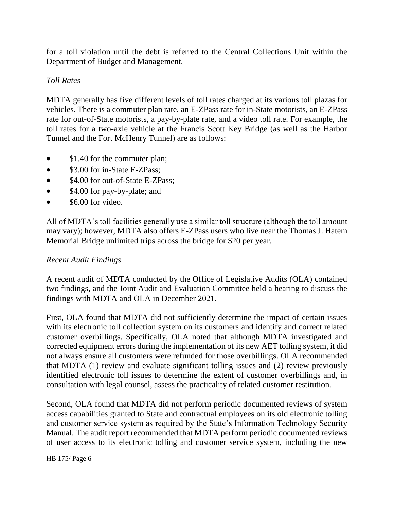for a toll violation until the debt is referred to the Central Collections Unit within the Department of Budget and Management.

## *Toll Rates*

MDTA generally has five different levels of toll rates charged at its various toll plazas for vehicles. There is a commuter plan rate, an E-ZPass rate for in-State motorists, an E-ZPass rate for out-of-State motorists, a pay-by-plate rate, and a video toll rate. For example, the toll rates for a two-axle vehicle at the Francis Scott Key Bridge (as well as the Harbor Tunnel and the Fort McHenry Tunnel) are as follows:

- \$1.40 for the commuter plan;
- \$3.00 for in-State E-ZPass;
- \$4.00 for out-of-State E-ZPass;
- \$4.00 for pay-by-plate; and
- $\bullet$  \$6.00 for video.

All of MDTA's toll facilities generally use a similar toll structure (although the toll amount may vary); however, MDTA also offers E-ZPass users who live near the Thomas J. Hatem Memorial Bridge unlimited trips across the bridge for \$20 per year.

### *Recent Audit Findings*

A recent audit of MDTA conducted by the Office of Legislative Audits (OLA) contained two findings, and the Joint Audit and Evaluation Committee held a hearing to discuss the findings with MDTA and OLA in December 2021.

First, OLA found that MDTA did not sufficiently determine the impact of certain issues with its electronic toll collection system on its customers and identify and correct related customer overbillings. Specifically, OLA noted that although MDTA investigated and corrected equipment errors during the implementation of its new AET tolling system, it did not always ensure all customers were refunded for those overbillings. OLA recommended that MDTA (1) review and evaluate significant tolling issues and (2) review previously identified electronic toll issues to determine the extent of customer overbillings and, in consultation with legal counsel, assess the practicality of related customer restitution.

Second, OLA found that MDTA did not perform periodic documented reviews of system access capabilities granted to State and contractual employees on its old electronic tolling and customer service system as required by the State's Information Technology Security Manual. The audit report recommended that MDTA perform periodic documented reviews of user access to its electronic tolling and customer service system, including the new